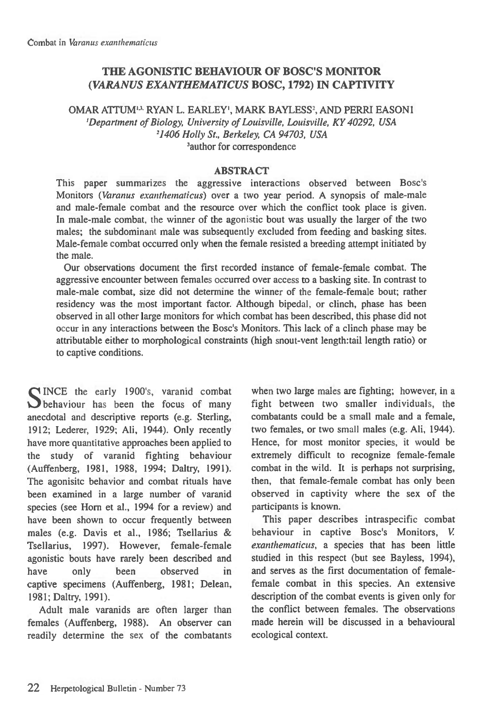# **THE AGONISTIC BEHAVIOUR OF BOSC'S MONITOR**  *(VARANUS EXANTHEMATICUS* **BOSC, 1792) IN CAPTIVITY**

OMAR ATTUM43. RYAN L. EARLEY', MARK BAYLESS', AND PERRI EASONI *'Department of Biology, University of Louisville, Louisville, KY 40292, USA 21406 Holly St., Berkeley, CA 94703, USA*  'author for correspondence

#### **ABSTRACT**

This paper summarizes the aggressive interactions observed between Bosc's Monitors *(Varanus exanthematicus)* over a two year period. A synopsis of male-male and male-female combat and the resource over which the conflict took place is given. In male-male combat, the winner of the agonistic bout was usually the larger of the two males; the subdominant male was subsequently excluded from feeding and basking sites. Male-female combat occurred only when the female resisted a breeding attempt initiated by the male.

Our observations document the first recorded instance of female-female combat. The aggressive encounter between females occurred over access to a basking site. In contrast to male-male combat, size did not determine the winner of the female-female bout; rather residency was the most important factor. Although bipedal, or clinch, phase has been observed in all other large monitors for which combat has been described, this phase did not occur in any interactions between the Bosc's Monitors. This lack of a clinch phase may be attributable either to morphological constraints (high snout-vent length:tail length ratio) or to captive conditions.

SINCE the early 1900's, varanid combat<br>Seehaviour has been the focus of many behaviour has been the focus of many anecdotal and descriptive reports (e.g. Sterling, 1912; Lederer, 1929; Ali, 1944). Only recently have more quantitative approaches been applied to the study of varanid fighting behaviour (Auffenberg, 1981, 1988, 1994; Daltry, 1991). The agonisitc behavior and combat rituals have been examined in a large number of varanid species (see Horn et al., 1994 for a review) and have been shown to occur frequently between males (e.g. Davis et al., 1986; Tsellarius & Tsellarius, 1997). However, female-female agonistic bouts have rarely been described and have only been observed in captive specimens (Auffenberg, 1981; Delean, 1981; Daltry, 1991).

Adult male varanids are often larger than females (Auffenberg, 1988). An observer can readily determine the sex of the combatants

when two large males are fighting; however, in a fight between two smaller individuals, the combatants could be a small male and a female, two females, or two small males (e.g. Ali, 1944). Hence, for most monitor species, it would be extremely difficult to recognize female-female combat in the wild. It is perhaps not surprising, then, that female-female combat has only been observed in captivity where the sex of the participants is known.

This paper describes intraspecific combat behaviour in captive Bosc's Monitors, *V*. *exanthematicus,* a species that has been little studied in this respect (but see Bayless, 1994), and serves as the first documentation of femalefemale combat in this species. An extensive description of the combat events is given only for the conflict between females. The observations made herein will be discussed in a behavioural ecological context.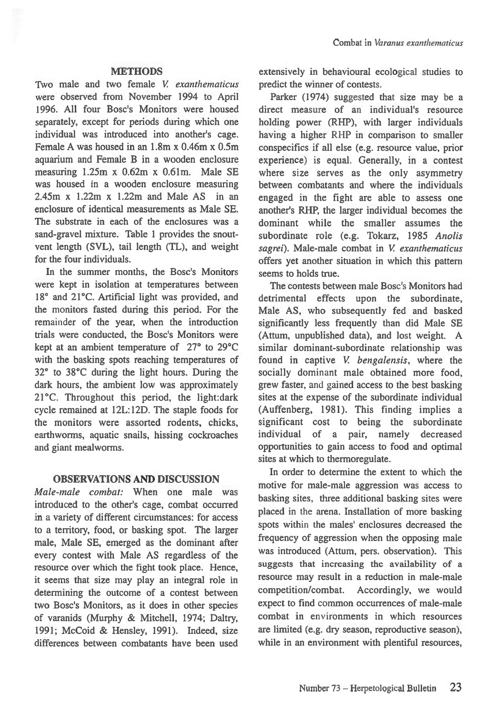#### **METHODS**

Two male and two female *V exanthematicus*  were observed from November 1994 to April 1996. All four Bosc's Monitors were housed separately, except for periods during which one individual was introduced into another's cage. Female A was housed in an 1.8m x 0.46m x 0.5m aquarium and Female B in a wooden enclosure measuring 1.25m x 0.62m x 0.61m. Male SE was housed in a wooden enclosure measuring 2.45m x 1.22m x 1.22m and Male AS in an enclosure of identical measurements as Male SE. The substrate in each of the enclosures was a sand-gravel mixture. Table 1 provides the snoutvent length (SVL), tail length (TL), and weight for the four individuals.

In the summer months, the Bosc's Monitors were kept in isolation at temperatures between 18° and 21°C. Artificial light was provided, and the monitors fasted during this period. For the remainder of the year, when the introduction trials were conducted, the Bosc's Monitors were kept at an ambient temperature of 27° to 29°C with the basking spots reaching temperatures of 32° to 38°C during the light hours. During the dark hours, the ambient low was approximately 21°C. Throughout this period, the light:dark cycle remained at 12L:12D. The staple foods for the monitors were assorted rodents, chicks, earthworms, aquatic snails, hissing cockroaches and giant mealworms.

#### **OBSERVATIONS AND DISCUSSION**

*Male-male combat:* When one male was introduced to the other's cage, combat occurred in a variety of different circumstances: for access to a territory, food, or basking spot. The larger male, Male SE, emerged as the dominant after every contest with Male AS regardless of the resource over which the fight took place. Hence, it seems that size may play an integral role in determining the outcome of a contest between two Bosc's Monitors, as it does in other species of varanids (Murphy & Mitchell, 1974; Daltry, 1991; McCoid & Hensley, 1991). Indeed, size differences between combatants have been used extensively in behavioural ecological studies to predict the winner of contests.

Parker (1974) suggested that size may be a direct measure of an individual's resource holding power (RHP), with larger individuals having a higher RHP in comparison to smaller conspecifics if all else (e.g. resource value, prior experience) is equal. Generally, in a contest where size serves as the only asymmetry between combatants and where the individuals engaged in the fight are able to assess one another's RHP, the larger individual becomes the dominant while the smaller assumes the subordinate role (e.g. Tokarz, 1985 *Anolis sagrei).* Male-male combat in *V exanthematicus*  offers yet another situation in which this pattern seems to holds true.

The contests between male Bosc's Monitors had detrimental effects upon the subordinate, Male AS, who subsequently fed and basked significantly less frequently than did Male SE (Attum, unpublished data), and lost weight. A similar dominant-subordinate relationship was found in captive *V. bengalensis,* where the socially dominant male obtained more food, grew faster, and gained access to the best basking sites at the expense of the subordinate individual (Auffenberg, 1981). This finding implies a significant cost to being the subordinate individual of a pair, namely decreased opportunities to gain access to food and optimal sites at which to thermoregulate.

In order to determine the extent to which the motive for male-male aggression was access to basking sites, three additional basking sites were placed in the arena. Installation of more basking spots within the males' enclosures decreased the frequency of aggression when the opposing male was introduced (Attum, pers. observation). This suggests that increasing the availability of a resource may result in a reduction in male-male competition/combat. Accordingly, we would expect to find common occurrences of male-male combat in environments in which resources are limited (e.g. dry season, reproductive season), while in an environment with plentiful resources,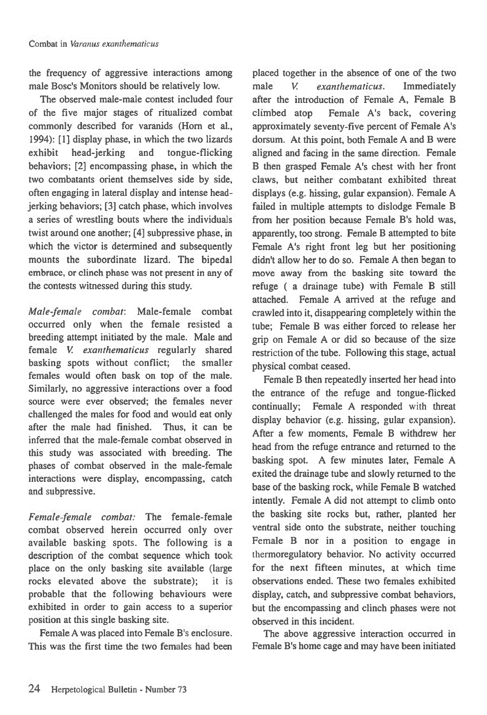the frequency of aggressive interactions among male Bosc's Monitors should be relatively low.

The observed male-male contest included four of the five major stages of ritualized combat commonly described for varanids (Horn et al., 1994): [1] display phase, in which the two lizards exhibit head-jerking and tongue-flicking behaviors; [2] encompassing phase, in which the two combatants orient themselves side by side, often engaging in lateral display and intense headjerking behaviors; [3] catch phase, which involves a series of wrestling bouts where the individuals twist around one another; [4] subpressive phase, in which the victor is determined and subsequently mounts the subordinate lizard. The bipedal embrace, or clinch phase was not present in any of the contests witnessed during this study.

*Male female combat:* Male-female combat occurred only when the female resisted a breeding attempt initiated by the male. Male and female *V. exanthematicus* regularly shared basking spots without conflict; the smaller females would often bask on top of the male. Similarly, no aggressive interactions over a food source were ever observed; the females never challenged the males for food and would eat only after the male had finished. Thus, it can be inferred that the male-female combat observed in this study was associated with breeding. The phases of combat observed in the male-female interactions were display, encompassing, catch and subpressive.

*Female female combat:* The female-female combat observed herein occurred only over available basking spots. The following is a description of the combat sequence which took place on the only basking site available (large rocks elevated above the substrate); it is probable that the following behaviours were exhibited in order to gain access to a superior position at this single basking site.

Female A was placed into Female B's enclosure. This was the first time the two females had been placed together in the absence of one of the two male V. *exanthematicus. Immediately after* the introduction of Female A, Female B climbed atop Female A's back, covering approximately seventy-five percent of Female A's dorsum. At this point, both Female A and B were aligned and facing in the same direction. Female B then grasped Female A's chest with her front claws, but neither combatant exhibited threat displays (e.g. hissing, gular expansion). Female A failed in multiple attempts to dislodge Female B from her position because Female B's hold was, apparently, too strong. Female B attempted to bite Female A's right front leg but her positioning didn't allow her to do so. Female A then began to move away from the basking site toward the refuge ( a drainage tube) with Female B still attached. Female A arrived at the refuge and crawled into it, disappearing completely within the tube; Female B was either forced to release her grip on Female A or did so because of the size restriction of the tube. Following this stage, actual physical combat ceased.

Female B then repeatedly inserted her head into the entrance of the refuge and tongue-flicked continually; Female A responded with threat display behavior (e.g. hissing, gular expansion). After a few moments, Female B withdrew her head from the refuge entrance and returned to the basking spot. A few minutes later, Female A exited the drainage tube and slowly returned to the base of the basking rock, while Female B watched intently. Female A did not attempt to climb onto the basking site rocks but, rather, planted her ventral side onto the substrate, neither touching Female B nor in a position to engage in thermoregulatory behavior. No activity occurred for the next fifteen minutes, at which time observations ended. These two females exhibited display, catch, and subpressive combat behaviors, but the encompassing and clinch phases were not observed in this incident.

The above aggressive interaction occurred in Female B's home cage and may have been initiated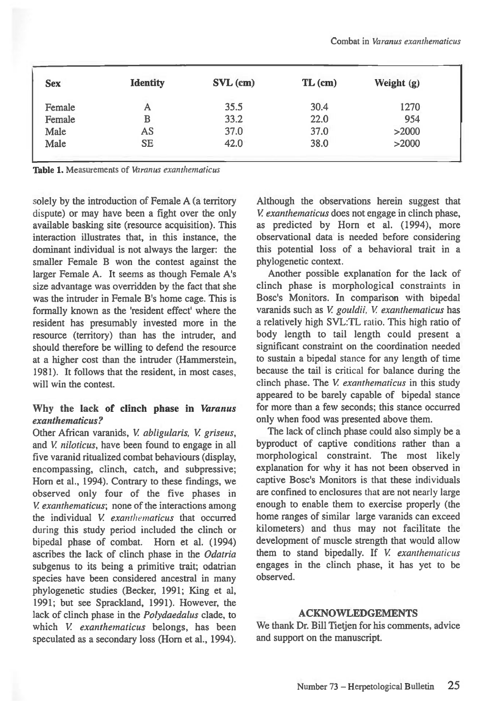| <b>Sex</b> | <b>Identity</b> | $\text{SVL}\left(\text{cm}\right)$ | $TL$ (cm) | Weight $(g)$ |  |
|------------|-----------------|------------------------------------|-----------|--------------|--|
| Female     | A               | 35.5                               | 30.4      | 1270         |  |
| Female     | B               | 33.2                               | 22.0      | 954          |  |
| Male       | AS              | 37.0                               | 37.0      | >2000        |  |
| Male       | <b>SE</b>       | 42.0                               | 38.0      | >2000        |  |
|            |                 |                                    |           |              |  |

Table 1. Measurements of *Varanus exanthematicus* 

solely by the introduction of Female A (a territory dispute) or may have been a fight over the only available basking site (resource acquisition). This interaction illustrates that, in this instance, the dominant individual is not always the larger: the smaller Female B won the contest against the larger Female A. It seems as though Female A's size advantage was overridden by the fact that she was the intruder in Female B's home cage. This is formally known as the 'resident effect' where the resident has presumably invested more in the resource (territory) than has the intruder, and should therefore be willing to defend the resource at a higher cost than the intruder (Hammerstein, 1981). It follows that the resident, in most cases, will win the contest.

### **Why the lack of clinch phase in** *Varanus exanthematicus?*

Other African varanids, *V abligularis, V griseus,*  and *V niloticus,* have been found to engage in all five varanid ritualized combat behaviours (display, encompassing, clinch, catch, and subpressive; Horn et al., 1994). Contrary to these findings, we observed only four of the five phases in *V exanthematicus;* none of the interactions among the individual *V exanthematicus* that occurred during this study period included the clinch or bipedal phase of combat. Horn et al. (1994) ascribes the lack of clinch phase in the *Odatria*  subgenus to its being a primitive trait; odatrian species have been considered ancestral in many phylogenetic studies (Becker, 1991; King et al, 1991; but see Sprackland, 1991). However, the lack of clinch phase in the *Polydaedalus* clade, to which *V. exanthematicus* belongs, has been speculated as a secondary loss (Horn et al., 1994).

Although the observations herein suggest that *V exanthematicus* does not engage in clinch phase, as predicted by Horn et al. (1994), more observational data is needed before considering this potential loss of a behavioral trait in a phylogenetic context.

Another possible explanation for the lack of clinch phase is morphological constraints in Bosc's Monitors. In comparison with bipedal varanids such as *V gouldii, V exanthematicus* has a relatively high SVL:TL ratio. This high ratio of body length to tail length could present a significant constraint on the coordination needed to sustain a bipedal stance for any length of time because the tail is critical for balance during the clinch phase. The V *exanthematicus* in this study appeared to be barely capable of bipedal stance for more than a few seconds; this stance occurred only when food was presented above them.

The lack of clinch phase could also simply be a byproduct of captive conditions rather than a morphological constraint. The most likely explanation for why it has not been observed in captive Bosc's Monitors is that these individuals are confined to enclosures *that* are not nearly large enough to enable them to exercise properly (the home ranges of similar large varanids can exceed kilometers) and thus may not facilitate the development of muscle strength that would allow them to stand bipedally. If *V exanthematicus*  engages in the clinch phase, it has yet to be observed.

#### **ACKNOWLEDGEMENTS**

We thank Dr. Bill Tietjen for his comments, advice and support on the manuscript.